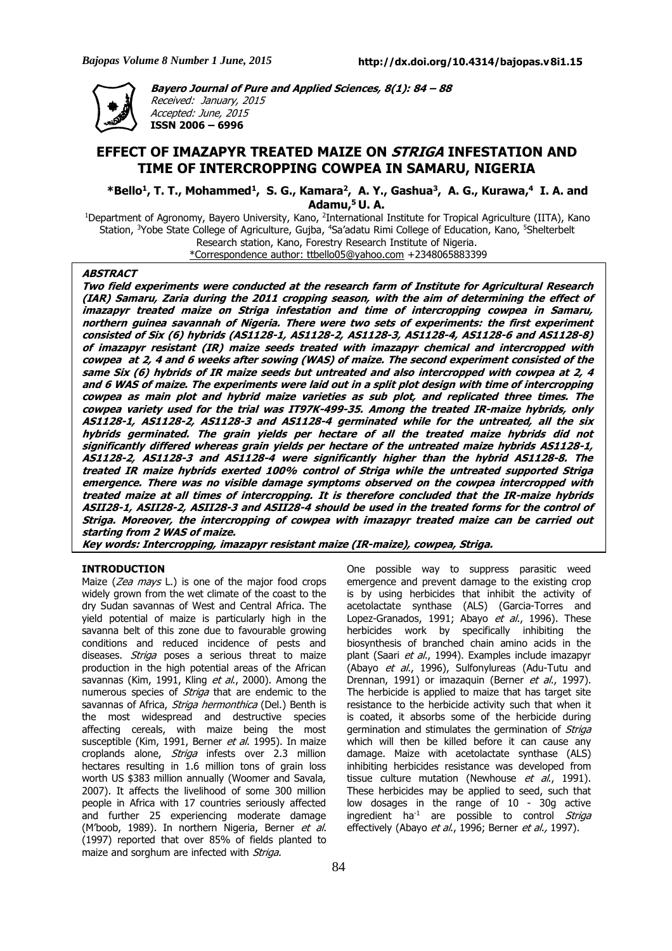

**Bayero Journal of Pure and Applied Sciences, 8(1): 84 – 88** Received: January, 2015 Accepted: June, 2015 **ISSN 2006 – 6996**

# **EFFECT OF IMAZAPYR TREATED MAIZE ON STRIGA INFESTATION AND TIME OF INTERCROPPING COWPEA IN SAMARU, NIGERIA**

**\*Bello<sup>1</sup> , T. T., Mohammed<sup>1</sup> , S. G., Kamara<sup>2</sup> , A. Y., Gashua<sup>3</sup> , A. G., Kurawa,<sup>4</sup> I. A. and Adamu,<sup>5</sup> U. A.**

<sup>1</sup>Department of Agronomy, Bayero University, Kano, <sup>2</sup>International Institute for Tropical Agriculture (IITA), Kano Station, <sup>3</sup>Yobe State College of Agriculture, Gujba, <sup>4</sup>Sa'adatu Rimi College of Education, Kano, <sup>5</sup>Shelterbelt Research station, Kano, Forestry Research Institute of Nigeria. \*Correspondence author: ttbello05@yahoo.com +2348065883399

#### **ABSTRACT**

Two field experiments were conducted at the research farm of Institute for Agricultural Research (IAR) Samaru, Zaria during the 2011 cropping season, with the aim of determining the effect of imazapyr treated maize on Striga infestation and time of intercropping cowpea in Samaru, northern quinea savannah of Nigeria. There were two sets of experiments: the first experiment consisted of Six (6) hybrids (AS1128-1, AS1128-2, AS1128-3, AS1128-4, AS1128-6 and AS1128-8) of imazapyr resistant (IR) maize seeds treated with imazapyr chemical and intercropped with cowpea at 2, 4 and 6 weeks after sowing (WAS) of maize. The second experiment consisted of the same Six (6) hybrids of IR maize seeds but untreated and also intercropped with cowpea at 2, 4 and 6 WAS of maize. The experiments were laid out in a split plot design with time of intercropping cowpea as main plot and hybrid maize varieties as sub plot, and replicated three times. The cowpea variety used for the trial was IT97K-499-35. Among the treated IR-maize hybrids, only AS1128-1, AS1128-2, AS1128-3 and AS1128-4 germinated while for the untreated, all the six hybrids germinated. The grain yields per hectare of all the treated maize hybrids did not significantly differed whereas grain yields per hectare of the untreated maize hybrids AS1128-1, AS1128-2, AS1128-3 and AS1128-4 were significantly higher than the hybrid AS1128-8. The treated IR maize hybrids exerted 100% control of Striga while the untreated supported Striga emergence. There was no visible damage symptoms observed on the cowpea intercropped with treated maize at all times of intercropping. It is therefore concluded that the IR-maize hybrids ASII28-1, ASII28-2, ASII28-3 and ASII28-4 should be used in the treated forms for the control of Striga. Moreover, the intercropping of cowpea with imazapyr treated maize can be carried out **starting from 2 WAS of maize.**

**Key words: Intercropping, imazapyr resistant maize (IR-maize), cowpea, Striga.**

#### **INTRODUCTION**

Maize ( $Zea$  mays L.) is one of the major food crops widely grown from the wet climate of the coast to the dry Sudan savannas of West and Central Africa. The yield potential of maize is particularly high in the savanna belt of this zone due to favourable growing conditions and reduced incidence of pests and diseases. Striga poses a serious threat to maize production in the high potential areas of the African savannas (Kim, 1991, Kling et al., 2000). Among the numerous species of *Striga* that are endemic to the savannas of Africa, Striga hermonthica (Del.) Benth is the most widespread and destructive species affecting cereals, with maize being the most susceptible (Kim, 1991, Berner et al. 1995). In maize croplands alone, *Striga* infests over 2.3 million hectares resulting in 1.6 million tons of grain loss worth US \$383 million annually (Woomer and Savala, 2007). It affects the livelihood of some 300 million people in Africa with 17 countries seriously affected and further 25 experiencing moderate damage (M'boob, 1989). In northern Nigeria, Berner et al. (1997) reported that over 85% of fields planted to maize and sorghum are infected with Striga.

One possible way to suppress parasitic weed emergence and prevent damage to the existing crop is by using herbicides that inhibit the activity of acetolactate synthase (ALS) (Garcia-Torres and Lopez-Granados, 1991; Abayo et al., 1996). These herbicides work by specifically inhibiting the biosynthesis of branched chain amino acids in the plant (Saari et al., 1994). Examples include imazapyr (Abayo et al., 1996), Sulfonylureas (Adu-Tutu and Drennan, 1991) or imazaquin (Berner et al., 1997). The herbicide is applied to maize that has target site resistance to the herbicide activity such that when it is coated, it absorbs some of the herbicide during germination and stimulates the germination of *Striga* which will then be killed before it can cause any damage. Maize with acetolactate synthase (ALS) inhibiting herbicides resistance was developed from tissue culture mutation (Newhouse et al., 1991). These herbicides may be applied to seed, such that low dosages in the range of 10 - 30g active ingredient ha<sup>-1</sup> are possible to control *Striga* effectively (Abayo et al., 1996; Berner et al., 1997).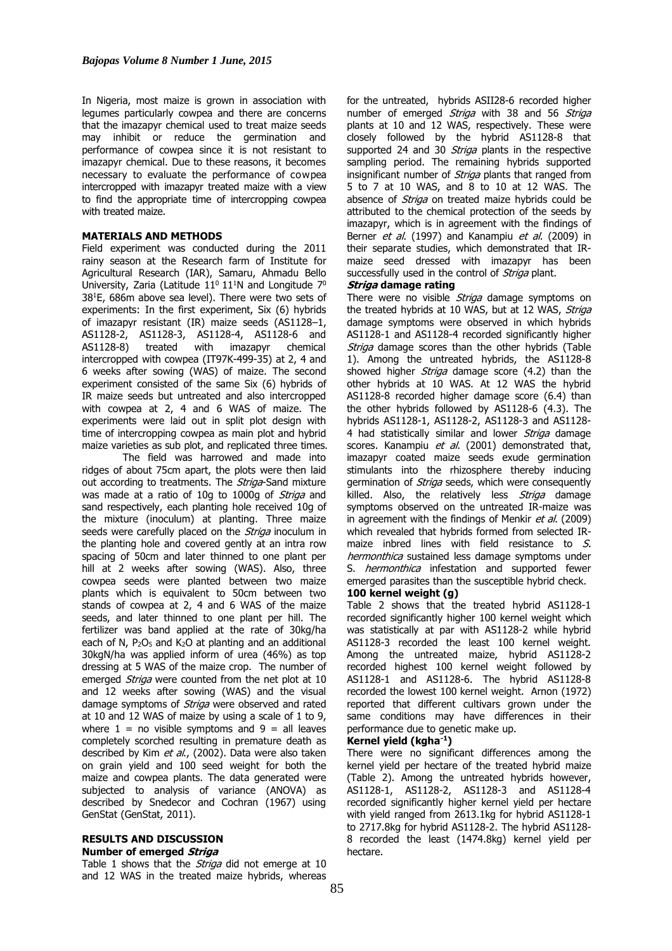In Nigeria, most maize is grown in association with legumes particularly cowpea and there are concerns that the imazapyr chemical used to treat maize seeds may inhibit or reduce the germination and performance of cowpea since it is not resistant to imazapyr chemical. Due to these reasons, it becomes necessary to evaluate the performance of cowpea intercropped with imazapyr treated maize with a view to find the appropriate time of intercropping cowpea with treated maize.

# **MATERIALS AND METHODS**

Field experiment was conducted during the 2011 rainy season at the Research farm of Institute for Agricultural Research (IAR), Samaru, Ahmadu Bello University, Zaria (Latitude  $11^0$   $11^1$ N and Longitude  $7^0$  $38<sup>1</sup>E$ , 686m above sea level). There were two sets of experiments: In the first experiment, Six (6) hybrids of imazapyr resistant (IR) maize seeds (AS1128–1, AS1128-2, AS1128-3, AS1128-4, AS1128-6 and AS1128-8) treated with imazapyr chemical intercropped with cowpea (IT97K-499-35) at 2, 4 and 6 weeks after sowing (WAS) of maize. The second experiment consisted of the same Six (6) hybrids of IR maize seeds but untreated and also intercropped with cowpea at 2, 4 and 6 WAS of maize. The experiments were laid out in split plot design with time of intercropping cowpea as main plot and hybrid maize varieties as sub plot, and replicated three times.

The field was harrowed and made into ridges of about 75cm apart, the plots were then laid out according to treatments. The *Striga*-Sand mixture was made at a ratio of 10g to 1000g of *Striga* and sand respectively, each planting hole received 10g of the mixture (inoculum) at planting. Three maize seeds were carefully placed on the *Striga* inoculum in the planting hole and covered gently at an intra row spacing of 50cm and later thinned to one plant per hill at 2 weeks after sowing (WAS). Also, three cowpea seeds were planted between two maize plants which is equivalent to 50cm between two stands of cowpea at 2, 4 and 6 WAS of the maize seeds, and later thinned to one plant per hill. The fertilizer was band applied at the rate of 30kg/ha each of N,  $P_2O_5$  and  $K_2O$  at planting and an additional 30kgN/ha was applied inform of urea (46%) as top dressing at 5 WAS of the maize crop. The number of emerged *Striga* were counted from the net plot at 10 and 12 weeks after sowing (WAS) and the visual damage symptoms of *Striga* were observed and rated at 10 and 12 WAS of maize by using a scale of 1 to 9, where  $1 =$  no visible symptoms and  $9 =$  all leaves completely scorched resulting in premature death as described by Kim et al., (2002). Data were also taken on grain yield and 100 seed weight for both the maize and cowpea plants. The data generated were subjected to analysis of variance (ANOVA) as described by Snedecor and Cochran (1967) using GenStat (GenStat, 2011).

# **RESULTS AND DISCUSSION**

# **Number of emerged Striga**

Table 1 shows that the *Striga* did not emerge at 10 and 12 WAS in the treated maize hybrids, whereas for the untreated, hybrids ASII28-6 recorded higher number of emerged Striga with 38 and 56 Striga plants at 10 and 12 WAS, respectively. These were closely followed by the hybrid AS1128-8 that supported 24 and 30 Striga plants in the respective sampling period. The remaining hybrids supported insignificant number of *Striga* plants that ranged from 5 to 7 at 10 WAS, and 8 to 10 at 12 WAS. The absence of *Striga* on treated maize hybrids could be attributed to the chemical protection of the seeds by imazapyr, which is in agreement with the findings of Berner et al. (1997) and Kanampiu et al. (2009) in their separate studies, which demonstrated that IRmaize seed dressed with imazapyr has been successfully used in the control of *Striga* plant.

#### **Striga damage rating**

There were no visible *Striga* damage symptoms on the treated hybrids at 10 WAS, but at 12 WAS, Striga damage symptoms were observed in which hybrids AS1128-1 and AS1128-4 recorded significantly higher Striga damage scores than the other hybrids (Table 1). Among the untreated hybrids, the AS1128-8 showed higher *Striga* damage score (4.2) than the other hybrids at 10 WAS. At 12 WAS the hybrid AS1128-8 recorded higher damage score (6.4) than the other hybrids followed by AS1128-6 (4.3). The hybrids AS1128-1, AS1128-2, AS1128-3 and AS1128- 4 had statistically similar and lower Striga damage scores. Kanampiu et al. (2001) demonstrated that, imazapyr coated maize seeds exude germination stimulants into the rhizosphere thereby inducing germination of *Striga* seeds, which were consequently killed. Also, the relatively less *Striga* damage symptoms observed on the untreated IR-maize was in agreement with the findings of Menkir  $et$  al. (2009) which revealed that hybrids formed from selected IRmaize inbred lines with field resistance to S. hermonthica sustained less damage symptoms under S. *hermonthica* infestation and supported fewer emerged parasites than the susceptible hybrid check.

#### **100 kernel weight (g)**

Table 2 shows that the treated hybrid AS1128-1 recorded significantly higher 100 kernel weight which was statistically at par with AS1128-2 while hybrid AS1128-3 recorded the least 100 kernel weight. Among the untreated maize, hybrid AS1128-2 recorded highest 100 kernel weight followed by AS1128-1 and AS1128-6. The hybrid AS1128-8 recorded the lowest 100 kernel weight. Arnon (1972) reported that different cultivars grown under the same conditions may have differences in their performance due to genetic make up.

### **Kernel yield (kgha-1)**

There were no significant differences among the kernel yield per hectare of the treated hybrid maize (Table 2). Among the untreated hybrids however, AS1128-1, AS1128-2, AS1128-3 and AS1128-4 recorded significantly higher kernel yield per hectare with yield ranged from 2613.1kg for hybrid AS1128-1 to 2717.8kg for hybrid AS1128-2. The hybrid AS1128- 8 recorded the least (1474.8kg) kernel yield per hectare.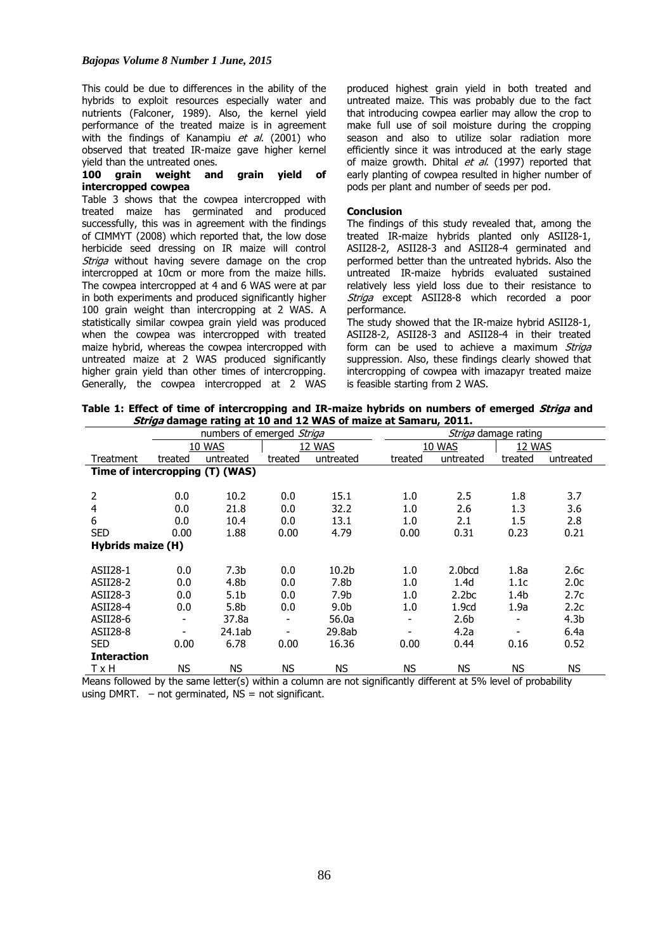This could be due to differences in the ability of the hybrids to exploit resources especially water and nutrients (Falconer, 1989). Also, the kernel yield performance of the treated maize is in agreement with the findings of Kanampiu  $et$  al. (2001) who observed that treated IR-maize gave higher kernel yield than the untreated ones.

#### **100 grain weight and grain yield of intercropped cowpea**

Table 3 shows that the cowpea intercropped with treated maize has germinated and produced successfully, this was in agreement with the findings of CIMMYT (2008) which reported that, the low dose herbicide seed dressing on IR maize will control Striga without having severe damage on the crop intercropped at 10cm or more from the maize hills. The cowpea intercropped at 4 and 6 WAS were at par in both experiments and produced significantly higher 100 grain weight than intercropping at 2 WAS. A statistically similar cowpea grain yield was produced when the cowpea was intercropped with treated maize hybrid, whereas the cowpea intercropped with untreated maize at 2 WAS produced significantly higher grain yield than other times of intercropping. Generally, the cowpea intercropped at 2 WAS produced highest grain yield in both treated and untreated maize. This was probably due to the fact that introducing cowpea earlier may allow the crop to make full use of soil moisture during the cropping season and also to utilize solar radiation more efficiently since it was introduced at the early stage of maize growth. Dhital et al. (1997) reported that early planting of cowpea resulted in higher number of pods per plant and number of seeds per pod.

#### **Conclusion**

The findings of this study revealed that, among the treated IR-maize hybrids planted only ASII28-1, ASII28-2, ASII28-3 and ASII28-4 germinated and performed better than the untreated hybrids. Also the untreated IR-maize hybrids evaluated sustained relatively less yield loss due to their resistance to Striga except ASII28-8 which recorded a poor performance.

The study showed that the IR-maize hybrid ASII28-1, ASII28-2, ASII28-3 and ASII28-4 in their treated form can be used to achieve a maximum Striga suppression. Also, these findings clearly showed that intercropping of cowpea with imazapyr treated maize is feasible starting from 2 WAS.

**Table 1: Effect of time of intercropping and IR-maize hybrids on numbers of emerged Striga and Striga damage rating at 10 and 12 WAS of maize at Samaru, 2011.**

|                                 | numbers of emerged Striga |                  |           |                   |  | Striga damage rating  |                   |                          |                  |  |
|---------------------------------|---------------------------|------------------|-----------|-------------------|--|-----------------------|-------------------|--------------------------|------------------|--|
|                                 |                           | 10 WAS           | 12 WAS    |                   |  | 10 WAS                | 12 WAS            |                          |                  |  |
| Treatment                       | treated                   | untreated        | treated   | untreated         |  | treated               | untreated         | treated                  | untreated        |  |
| Time of intercropping (T) (WAS) |                           |                  |           |                   |  |                       |                   |                          |                  |  |
|                                 |                           |                  |           |                   |  |                       |                   |                          |                  |  |
| 2                               | 0.0                       | 10.2             | 0.0       | 15.1              |  | 1.0                   | 2.5               | 1.8                      | 3.7              |  |
| 4                               | 0.0                       | 21.8             | 0.0       | 32.2              |  | 1.0                   | 2.6               | 1.3                      | 3.6              |  |
| 6                               | 0.0                       | 10.4             | 0.0       | 13.1              |  | 1.0                   | 2.1               | $1.5\,$                  | 2.8              |  |
| <b>SED</b>                      | 0.00                      | 1.88             | 0.00      | 4.79              |  | 0.00                  | 0.31              | 0.23                     | 0.21             |  |
| <b>Hybrids maize (H)</b>        |                           |                  |           |                   |  |                       |                   |                          |                  |  |
|                                 |                           |                  |           |                   |  |                       |                   |                          |                  |  |
| ASII28-1                        | 0.0                       | 7.3 <sub>b</sub> | 0.0       | 10.2 <sub>b</sub> |  | 1.0                   | 2.0bcd            | 1.8a                     | 2.6c             |  |
| ASII28-2                        | 0.0                       | 4.8b             | 0.0       | 7.8b              |  | 1.0                   | 1.4d              | 1.1c                     | 2.0 <sub>c</sub> |  |
| ASII28-3                        | 0.0                       | 5.1b             | 0.0       | 7.9b              |  | 1.0                   | 2.2 <sub>bc</sub> | 1.4 <sub>b</sub>         | 2.7c             |  |
| ASII28-4                        | 0.0                       | 5.8b             | 0.0       | 9.0 <sub>b</sub>  |  | 1.0                   | 1.9 <sub>cd</sub> | 1.9a                     | 2.2c             |  |
| ASII28-6                        | $\overline{\phantom{0}}$  | 37.8a            |           | 56.0a             |  |                       | 2.6b              | $\overline{\phantom{0}}$ | 4.3 <sub>b</sub> |  |
| ASII28-8                        | -                         | 24.1ab           |           | 29.8ab            |  |                       | 4.2a              |                          | 6.4a             |  |
| <b>SED</b>                      | 0.00                      | 6.78             | 0.00      | 16.36             |  | 0.00                  | 0.44              | 0.16                     | 0.52             |  |
| <b>Interaction</b>              |                           |                  |           |                   |  |                       |                   |                          |                  |  |
| T x H                           | ΝS                        | <b>NS</b>        | <b>NS</b> | ΝS                |  | <b>NS</b><br>$\cdots$ | <b>NS</b>         | ΝS                       | NS.              |  |

Means followed by the same letter(s) within a column are not significantly different at 5% level of probability using DMRT.  $-$  not germinated, NS = not significant.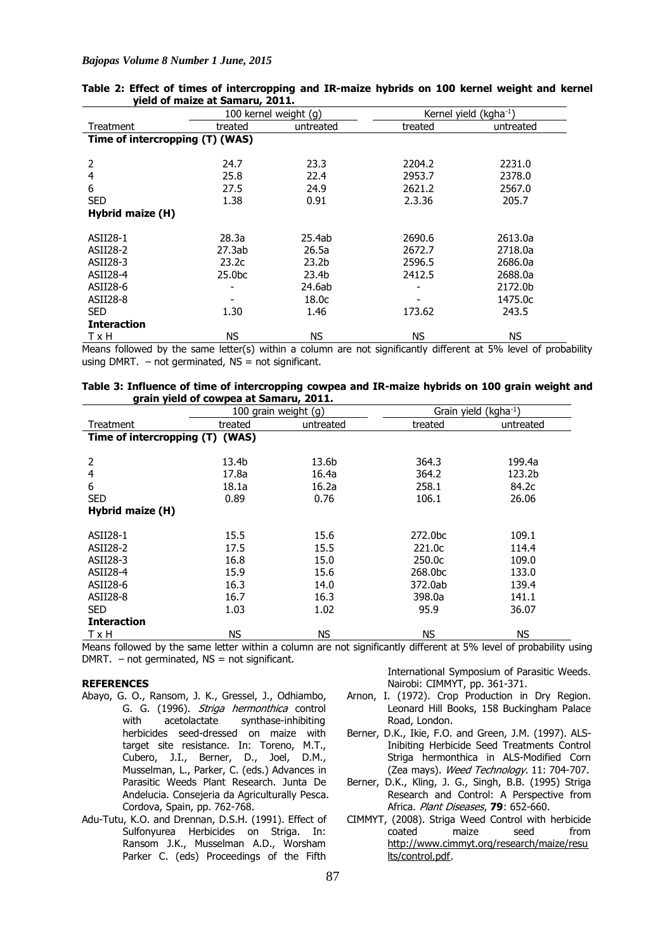## *Bajopas Volume 8 Number 1 June, 2015*

|                                 |                    | 100 kernel weight (g) |         | Kernel yield (kgha <sup>-1</sup> ) |
|---------------------------------|--------------------|-----------------------|---------|------------------------------------|
| Treatment                       | treated            | untreated             | treated | untreated                          |
| Time of intercropping (T) (WAS) |                    |                       |         |                                    |
|                                 |                    |                       |         |                                    |
| 2                               | 24.7               | 23.3                  | 2204.2  | 2231.0                             |
| 4                               | 25.8               | 22.4                  | 2953.7  | 2378.0                             |
| 6                               | 27.5               | 24.9                  | 2621.2  | 2567.0                             |
| <b>SED</b>                      | 1.38               | 0.91                  | 2.3.36  | 205.7                              |
| Hybrid maize (H)                |                    |                       |         |                                    |
|                                 |                    |                       |         |                                    |
| ASII28-1                        | 28.3a              | 25.4ab                | 2690.6  | 2613.0a                            |
| ASII28-2                        | 27.3ab             | 26.5a                 | 2672.7  | 2718.0a                            |
| ASII28-3                        | 23.2c              | 23.2 <sub>b</sub>     | 2596.5  | 2686.0a                            |
| ASII28-4                        | 25.0 <sub>bc</sub> | 23.4b                 | 2412.5  | 2688.0a                            |
| ASII28-6                        |                    | 24.6ab                |         | 2172.0b                            |
| ASII28-8                        |                    | 18.0c                 |         | 1475.0c                            |
| <b>SED</b>                      | 1.30               | 1.46                  | 173.62  | 243.5                              |
| <b>Interaction</b>              |                    |                       |         |                                    |
| T x H                           | <b>NS</b>          | <b>NS</b>             | ΝS      | ΝS                                 |

|  |                                 |  | Table 2: Effect of times of intercropping and IR-maize hybrids on 100 kernel weight and kernel |  |  |  |  |
|--|---------------------------------|--|------------------------------------------------------------------------------------------------|--|--|--|--|
|  | yield of maize at Samaru, 2011. |  |                                                                                                |  |  |  |  |

Means followed by the same letter(s) within a column are not significantly different at 5% level of probability using DMRT.  $-$  not germinated, NS  $=$  not significant.

| Table 3: Influence of time of intercropping cowpea and IR-maize hybrids on 100 grain weight and |  |  |  |  |
|-------------------------------------------------------------------------------------------------|--|--|--|--|
| grain yield of cowpea at Samaru, 2011.                                                          |  |  |  |  |

|                                 |         | 100 grain weight (g) |                     | Grain yield (kgha <sup>-1</sup> ) |
|---------------------------------|---------|----------------------|---------------------|-----------------------------------|
| Treatment                       | treated | untreated            | treated             | untreated                         |
| Time of intercropping (T) (WAS) |         |                      |                     |                                   |
|                                 |         |                      |                     |                                   |
| 2                               | 13.4b   | 13.6b                | 364.3               | 199.4a                            |
| 4                               | 17.8a   | 16.4a                | 364.2               | 123.2b                            |
| 6                               | 18.1a   | 16.2a                | 258.1               | 84.2c                             |
| <b>SED</b>                      | 0.89    | 0.76                 | 106.1               | 26.06                             |
| Hybrid maize (H)                |         |                      |                     |                                   |
|                                 |         |                      |                     |                                   |
| ASII28-1                        | 15.5    | 15.6                 | 272.0 <sub>bc</sub> | 109.1                             |
| ASII28-2                        | 17.5    | 15.5                 | 221.0 <sub>C</sub>  | 114.4                             |
| ASII28-3                        | 16.8    | 15.0                 | 250.0c              | 109.0                             |
| ASII28-4                        | 15.9    | 15.6                 | 268.0bc             | 133.0                             |
| ASII28-6                        | 16.3    | 14.0                 | 372.0ab             | 139.4                             |
| ASII28-8                        | 16.7    | 16.3                 | 398.0a              | 141.1                             |
| <b>SED</b>                      | 1.03    | 1.02                 | 95.9                | 36.07                             |
| <b>Interaction</b>              |         |                      |                     |                                   |
| TxH                             | ΝS      | ΝS                   | NS.                 | ΝS                                |

Means followed by the same letter within a column are not significantly different at 5% level of probability using DMRT.  $-$  not germinated, NS = not significant.

#### **REFERENCES**

- Abayo, G. O., Ransom, J. K., Gressel, J., Odhiambo, G. G. (1996). Striga hermonthica control with acetolactate synthase-inhibiting herbicides seed-dressed on maize with target site resistance. In: Toreno, M.T., Cubero, J.I., Berner, D., Joel, D.M., Musselman, L., Parker, C. (eds.) Advances in Parasitic Weeds Plant Research. Junta De Andelucia. Consejeria da Agriculturally Pesca. Cordova, Spain, pp. 762-768.
- Adu-Tutu, K.O. and Drennan, D.S.H. (1991). Effect of Sulfonyurea Herbicides on Striga. In: Ransom J.K., Musselman A.D., Worsham Parker C. (eds) Proceedings of the Fifth

International Symposium of Parasitic Weeds. Nairobi: CIMMYT, pp. 361-371.

- Arnon, I. (1972). Crop Production in Dry Region. Leonard Hill Books, 158 Buckingham Palace Road, London.
- Berner, D.K., Ikie, F.O. and Green, J.M. (1997). ALS-Inibiting Herbicide Seed Treatments Control Striga hermonthica in ALS-Modified Corn (Zea mays). Weed Technology. 11: 704-707.
- Berner, D.K., Kling, J. G., Singh, B.B. (1995) Striga Research and Control: A Perspective from Africa. Plant Diseases, **79**: 652-660.
- CIMMYT, (2008). Striga Weed Control with herbicide coated maize seed from http://www.cimmyt.org/research/maize/resu lts/control.pdf.